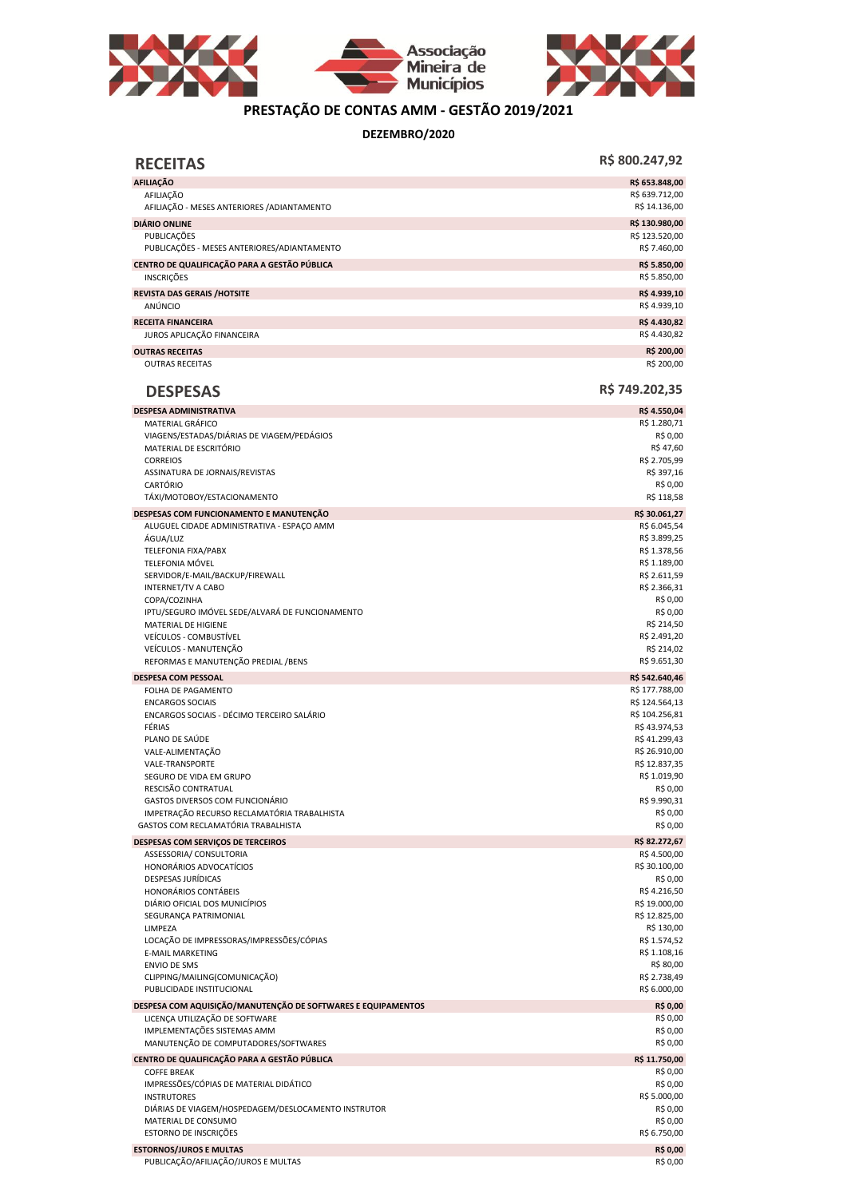



## **PRESTAÇÃO DE CONTAS AMM - GESTÃO 2019/2021**

**DEZEMBRO/2020**

| <b>RECEITAS</b>                                                        | R\$ 800.247,92                   |
|------------------------------------------------------------------------|----------------------------------|
| <b>AFILIAÇÃO</b>                                                       | R\$ 653.848,00                   |
| AFILIAÇÃO<br>AFILIAÇÃO - MESES ANTERIORES / ADIANTAMENTO               | R\$ 639.712,00<br>R\$ 14.136,00  |
| <b>DIÁRIO ONLINE</b>                                                   | R\$ 130.980,00                   |
| PUBLICAÇÕES<br>PUBLICAÇÕES - MESES ANTERIORES/ADIANTAMENTO             | R\$ 123.520,00<br>R\$ 7.460,00   |
| CENTRO DE QUALIFICAÇÃO PARA A GESTÃO PÚBLICA<br><b>INSCRIÇÕES</b>      | R\$ 5.850,00<br>R\$ 5.850,00     |
| <b>REVISTA DAS GERAIS /HOTSITE</b><br>ANÚNCIO                          | R\$4.939,10<br>R\$4.939,10       |
| <b>RECEITA FINANCEIRA</b>                                              | R\$4.430,82                      |
| JUROS APLICAÇÃO FINANCEIRA                                             | R\$4.430,82                      |
| <b>OUTRAS RECEITAS</b><br><b>OUTRAS RECEITAS</b>                       | R\$ 200,00<br>R\$ 200,00         |
| <b>DESPESAS</b>                                                        | R\$ 749.202,35                   |
| <b>DESPESA ADMINISTRATIVA</b>                                          | R\$4.550,04                      |
| MATERIAL GRÁFICO                                                       | R\$ 1.280,71                     |
| VIAGENS/ESTADAS/DIÁRIAS DE VIAGEM/PEDÁGIOS<br>MATERIAL DE ESCRITÓRIO   | R\$ 0,00<br>R\$ 47,60            |
| <b>CORREIOS</b>                                                        | R\$ 2.705,99                     |
| ASSINATURA DE JORNAIS/REVISTAS                                         | R\$ 397,16                       |
| CARTÓRIO                                                               | R\$ 0,00                         |
| TÁXI/MOTOBOY/ESTACIONAMENTO                                            | R\$ 118,58                       |
| DESPESAS COM FUNCIONAMENTO E MANUTENÇÃO                                | R\$ 30.061,27                    |
| ALUGUEL CIDADE ADMINISTRATIVA - ESPAÇO AMM                             | R\$ 6.045,54                     |
| ÁGUA/LUZ<br>TELEFONIA FIXA/PABX                                        | R\$ 3.899,25<br>R\$ 1.378,56     |
| <b>TELEFONIA MÓVEL</b>                                                 | R\$ 1.189,00                     |
| SERVIDOR/E-MAIL/BACKUP/FIREWALL                                        | R\$ 2.611,59                     |
| <b>INTERNET/TV A CABO</b>                                              | R\$ 2.366,31                     |
| COPA/COZINHA                                                           | R\$ 0,00<br>R\$ 0,00             |
| IPTU/SEGURO IMÓVEL SEDE/ALVARÁ DE FUNCIONAMENTO<br>MATERIAL DE HIGIENE | R\$ 214,50                       |
| VEÍCULOS - COMBUSTÍVEL                                                 | R\$ 2.491,20                     |
| VEÍCULOS - MANUTENÇÃO                                                  | R\$ 214,02                       |
| REFORMAS E MANUTENÇÃO PREDIAL / BENS                                   | R\$ 9.651,30                     |
| <b>DESPESA COM PESSOAL</b>                                             | R\$ 542.640,46                   |
| FOLHA DE PAGAMENTO                                                     | R\$ 177.788,00                   |
| <b>ENCARGOS SOCIAIS</b><br>ENCARGOS SOCIAIS - DÉCIMO TERCEIRO SALÁRIO  | R\$ 124.564,13<br>R\$ 104.256,81 |
| FÉRIAS                                                                 | R\$43.974,53                     |
| PLANO DE SAÚDE                                                         | R\$41.299,43                     |
| VALE-ALIMENTAÇÃO                                                       | R\$ 26.910,00                    |
| <b>VALE-TRANSPORTE</b>                                                 | R\$ 12.837,35                    |
| SEGURO DE VIDA EM GRUPO                                                | R\$ 1.019,90                     |
| RESCISÃO CONTRATUAL<br>GASTOS DIVERSOS COM FUNCIONÁRIO                 | R\$ 0,00<br>R\$ 9.990,31         |
| IMPETRAÇÃO RECURSO RECLAMATÓRIA TRABALHISTA                            | R\$ 0,00                         |
| GASTOS COM RECLAMATÓRIA TRABALHISTA                                    | R\$ 0,00                         |
| DESPESAS COM SERVIÇOS DE TERCEIROS                                     | R\$ 82.272,67                    |
| ASSESSORIA/ CONSULTORIA                                                | R\$4.500,00                      |
| HONORÁRIOS ADVOCATÍCIOS<br>DESPESAS JURÍDICAS                          | R\$ 30.100,00<br>R\$ 0,00        |
| HONORÁRIOS CONTÁBEIS                                                   | R\$4.216,50                      |
| DIÁRIO OFICIAL DOS MUNICÍPIOS                                          | R\$ 19.000,00                    |
| SEGURANÇA PATRIMONIAL                                                  | R\$ 12.825,00                    |
| LIMPEZA                                                                | R\$ 130,00                       |
| LOCAÇÃO DE IMPRESSORAS/IMPRESSÕES/CÓPIAS                               | R\$ 1.574,52                     |
| <b>E-MAIL MARKETING</b><br><b>ENVIO DE SMS</b>                         | R\$ 1.108,16<br>R\$ 80,00        |
| CLIPPING/MAILING(COMUNICAÇÃO)                                          | R\$ 2.738,49                     |
| PUBLICIDADE INSTITUCIONAL                                              | R\$ 6.000,00                     |
| DESPESA COM AQUISIÇÃO/MANUTENÇÃO DE SOFTWARES E EQUIPAMENTOS           | R\$ 0,00<br>R\$ 0,00             |
| LICENÇA UTILIZAÇÃO DE SOFTWARE<br>IMPLEMENTAÇÕES SISTEMAS AMM          | R\$ 0,00                         |
| MANUTENÇÃO DE COMPUTADORES/SOFTWARES                                   | R\$ 0,00                         |
| CENTRO DE QUALIFICAÇÃO PARA A GESTÃO PÚBLICA                           | R\$ 11.750,00                    |
| <b>COFFE BREAK</b>                                                     | R\$ 0,00                         |
| IMPRESSÕES/CÓPIAS DE MATERIAL DIDÁTICO                                 | R\$ 0,00                         |
| <b>INSTRUTORES</b>                                                     | R\$ 5.000,00                     |
| DIÁRIAS DE VIAGEM/HOSPEDAGEM/DESLOCAMENTO INSTRUTOR                    | R\$ 0,00                         |
| MATERIAL DE CONSUMO<br>ESTORNO DE INSCRIÇÕES                           | R\$ 0,00<br>R\$ 6.750,00         |
|                                                                        |                                  |
| <b>ESTORNOS/JUROS E MULTAS</b><br>PUBLICAÇÃO/AFILIAÇÃO/JUROS E MULTAS  | R\$ 0,00<br>R\$ 0,00             |
|                                                                        |                                  |